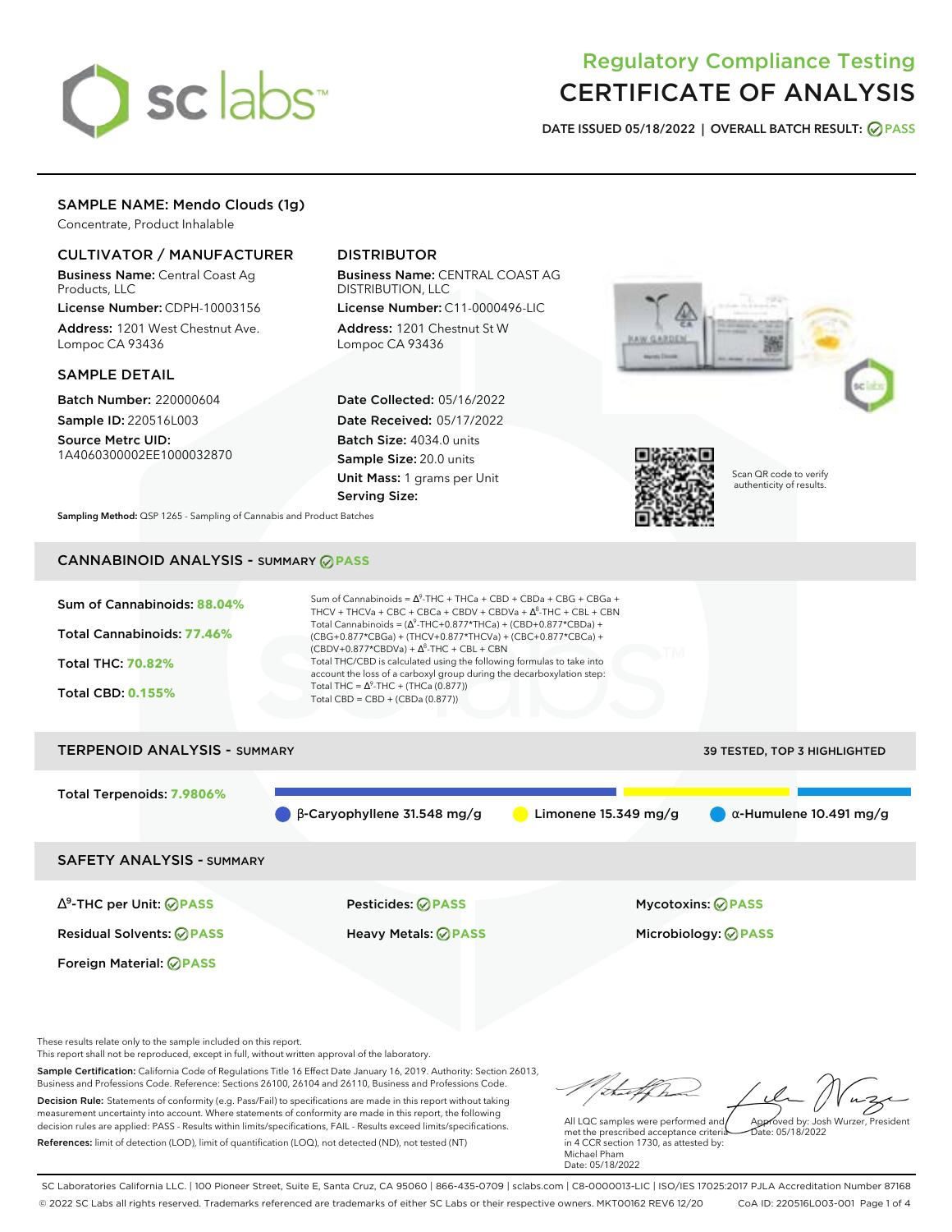

# Regulatory Compliance Testing CERTIFICATE OF ANALYSIS

**DATE ISSUED 05/18/2022 | OVERALL BATCH RESULT: PASS**

## SAMPLE NAME: Mendo Clouds (1g)

Concentrate, Product Inhalable

# CULTIVATOR / MANUFACTURER

Business Name: Central Coast Ag Products, LLC

License Number: CDPH-10003156 Address: 1201 West Chestnut Ave. Lompoc CA 93436

### SAMPLE DETAIL

Batch Number: 220000604 Sample ID: 220516L003

Source Metrc UID: 1A4060300002EE1000032870

# DISTRIBUTOR

Business Name: CENTRAL COAST AG DISTRIBUTION, LLC

License Number: C11-0000496-LIC Address: 1201 Chestnut St W Lompoc CA 93436

Date Collected: 05/16/2022 Date Received: 05/17/2022 Batch Size: 4034.0 units Sample Size: 20.0 units Unit Mass: 1 grams per Unit Serving Size:





Scan QR code to verify authenticity of results.

**Sampling Method:** QSP 1265 - Sampling of Cannabis and Product Batches

# CANNABINOID ANALYSIS - SUMMARY **PASS**

Sum of Cannabinoids: **88.04%** Total Cannabinoids: **77.46%** Total THC: **70.82%** Total CBD: **0.155%** Sum of Cannabinoids =  $\Delta^9$ -THC + THCa + CBD + CBDa + CBG + CBGa + THCV + THCVa + CBC + CBCa + CBDV + CBDVa +  $\Delta^8$ -THC + CBL + CBN Total Cannabinoids = ( $\Delta^9$ -THC+0.877\*THCa) + (CBD+0.877\*CBDa) + (CBG+0.877\*CBGa) + (THCV+0.877\*THCVa) + (CBC+0.877\*CBCa) +  $(CBDV+0.877*CBDVa) + \Delta^8$ -THC + CBL + CBN Total THC/CBD is calculated using the following formulas to take into account the loss of a carboxyl group during the decarboxylation step: Total THC =  $\Delta^9$ -THC + (THCa (0.877)) Total CBD = CBD + (CBDa (0.877)) TERPENOID ANALYSIS - SUMMARY 39 TESTED, TOP 3 HIGHLIGHTED

Total Terpenoids: **7.9806%**

β-Caryophyllene 31.548 mg/g **C** Limonene 15.349 mg/g  $\alpha$ -Humulene 10.491 mg/g

SAFETY ANALYSIS - SUMMARY

∆ 9 -THC per Unit: **PASS** Pesticides: **PASS** Mycotoxins: **PASS**

Foreign Material: **PASS**

Residual Solvents: **PASS** Heavy Metals: **PASS** Microbiology: **PASS**

These results relate only to the sample included on this report.

This report shall not be reproduced, except in full, without written approval of the laboratory.

Sample Certification: California Code of Regulations Title 16 Effect Date January 16, 2019. Authority: Section 26013, Business and Professions Code. Reference: Sections 26100, 26104 and 26110, Business and Professions Code. Decision Rule: Statements of conformity (e.g. Pass/Fail) to specifications are made in this report without taking measurement uncertainty into account. Where statements of conformity are made in this report, the following decision rules are applied: PASS - Results within limits/specifications, FAIL - Results exceed limits/specifications.

References: limit of detection (LOD), limit of quantification (LOQ), not detected (ND), not tested (NT)

Approved by: Josh Wurzer, President

 $hat: 05/18/2022$ 

All LQC samples were performed and met the prescribed acceptance criteria in 4 CCR section 1730, as attested by: Michael Pham Date: 05/18/2022

SC Laboratories California LLC. | 100 Pioneer Street, Suite E, Santa Cruz, CA 95060 | 866-435-0709 | sclabs.com | C8-0000013-LIC | ISO/IES 17025:2017 PJLA Accreditation Number 87168 © 2022 SC Labs all rights reserved. Trademarks referenced are trademarks of either SC Labs or their respective owners. MKT00162 REV6 12/20 CoA ID: 220516L003-001 Page 1 of 4